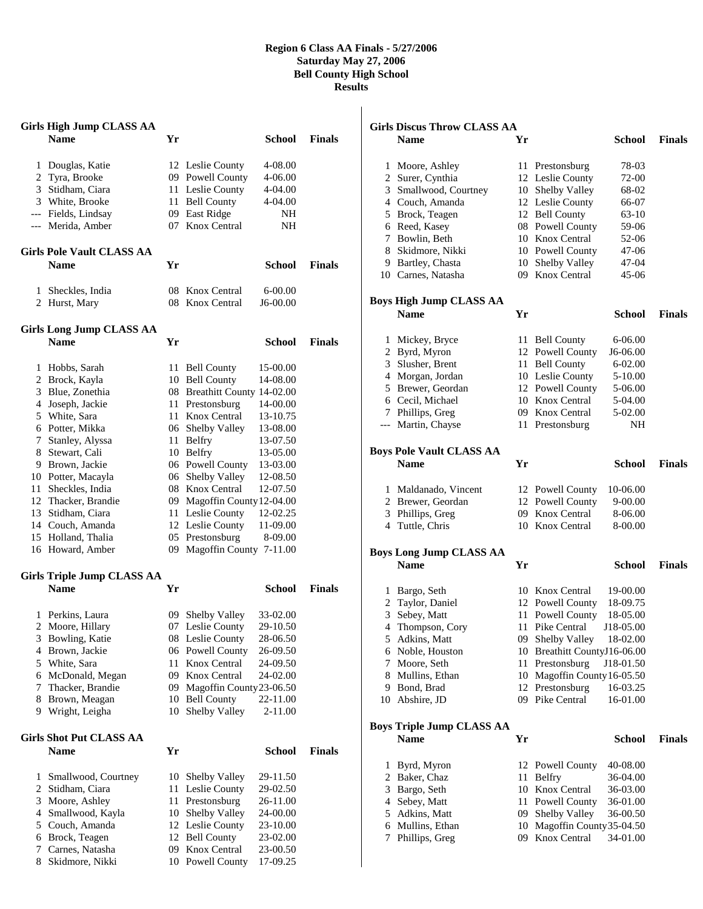## **Region 6 Class AA Finals - 5/27/2006 Saturday May 27, 2006 Bell County High School Results**

|   | <b>Girls High Jump CLASS AA</b>   |     |                              |               |               |
|---|-----------------------------------|-----|------------------------------|---------------|---------------|
|   | <b>Name</b>                       | Yr  |                              | School        | <b>Finals</b> |
| 1 | Douglas, Katie                    |     | 12 Leslie County             | 4-08.00       |               |
| 2 | Tyra, Brooke                      |     | 09 Powell County             | 4-06.00       |               |
|   | 3 Stidham, Ciara                  |     | 11 Leslie County             | 4-04.00       |               |
|   | 3 White, Brooke                   |     | 11 Bell County               | 4-04.00       |               |
|   | --- Fields, Lindsay               |     | 09 East Ridge                | NH            |               |
|   | --- Merida, Amber                 |     | 07 Knox Central              | NΗ            |               |
|   | <b>Girls Pole Vault CLASS AA</b>  |     |                              |               |               |
|   | <b>Name</b>                       | Yr  |                              | School        | <b>Finals</b> |
| 1 | Sheckles, India                   |     | 08 Knox Central              | $6 - 00.00$   |               |
|   | 2 Hurst, Mary                     | 08  | Knox Central                 | $J6-00.00$    |               |
|   | <b>Girls Long Jump CLASS AA</b>   |     |                              |               |               |
|   | <b>Name</b>                       | Yr  |                              | School        | <b>Finals</b> |
| 1 | Hobbs, Sarah                      |     | 11 Bell County               | 15-00.00      |               |
|   | 2 Brock, Kayla                    |     | 10 Bell County               | 14-08.00      |               |
| 3 | Blue, Zonethia                    |     | 08 Breathitt County 14-02.00 |               |               |
| 4 | Joseph, Jackie                    |     | 11 Prestonsburg              | 14-00.00      |               |
|   | 5 White, Sara                     |     | 11 Knox Central              | 13-10.75      |               |
|   | 6 Potter, Mikka                   |     | 06 Shelby Valley             | 13-08.00      |               |
| 7 | Stanley, Alyssa                   |     | 11 Belfry                    | 13-07.50      |               |
| 8 | Stewart, Cali                     |     | 10 Belfry                    | 13-05.00      |               |
|   | 9 Brown, Jackie                   |     | 06 Powell County             | 13-03.00      |               |
|   | 10 Potter, Macayla                |     | 06 Shelby Valley             | 12-08.50      |               |
|   | 11 Sheckles, India                |     | 08 Knox Central              | 12-07.50      |               |
|   | 12 Thacker, Brandie               |     | 09 Magoffin County 12-04.00  |               |               |
|   | 13 Stidham, Ciara                 |     | 11 Leslie County             | 12-02.25      |               |
|   | 14 Couch, Amanda                  |     | 12 Leslie County             | 11-09.00      |               |
|   | 15 Holland, Thalia                |     | 05 Prestonsburg              | 8-09.00       |               |
|   | 16 Howard, Amber                  | 09- | Magoffin County 7-11.00      |               |               |
|   | <b>Girls Triple Jump CLASS AA</b> |     |                              |               |               |
|   | <b>Name</b>                       | Yr  |                              | <b>School</b> | <b>Finals</b> |
|   | 1 Perkins, Laura                  |     | 09 Shelby Valley             | 33-02.00      |               |
|   | 2 Moore, Hillary                  |     | 07 Leslie County             | 29-10.50      |               |
| 3 | Bowling, Katie                    |     | 08 Leslie County             | 28-06.50      |               |
| 4 | Brown, Jackie                     |     | 06 Powell County             | 26-09.50      |               |
| 5 | White, Sara                       | 11  | <b>Knox Central</b>          | 24-09.50      |               |
| 6 | McDonald, Megan                   |     | 09 Knox Central              | 24-02.00      |               |
| 7 | Thacker, Brandie                  |     | 09 Magoffin County 23-06.50  |               |               |
| 8 | Brown, Meagan                     | 10  | <b>Bell County</b>           | 22-11.00      |               |
| 9 | Wright, Leigha                    | 10  | Shelby Valley                | 2-11.00       |               |
|   | Girls Shot Put CLASS AA           |     |                              |               |               |
|   | <b>Name</b>                       | Yr  |                              | <b>School</b> | <b>Finals</b> |
| 1 | Smallwood, Courtney               | 10  | Shelby Valley                | 29-11.50      |               |
| 2 | Stidham, Ciara                    | 11  | Leslie County                | 29-02.50      |               |
| 3 | Moore, Ashley                     | 11  | Prestonsburg                 | 26-11.00      |               |
| 4 | Smallwood, Kayla                  | 10  | Shelby Valley                | 24-00.00      |               |
| 5 | Couch, Amanda                     | 12  | Leslie County                | 23-10.00      |               |
| 6 | Brock, Teagen                     |     | 12 Bell County               | 23-02.00      |               |
| 7 | Carnes, Natasha                   |     | 09 Knox Central              | 23-00.50      |               |
| 8 | Skidmore, Nikki                   | 10  | Powell County                | 17-09.25      |               |

| <b>Girls Discus Throw CLASS AA</b> |                                  |      |                              |               |               |  |  |  |
|------------------------------------|----------------------------------|------|------------------------------|---------------|---------------|--|--|--|
|                                    | <b>Name</b>                      | Yr   |                              | School        | <b>Finals</b> |  |  |  |
|                                    |                                  |      |                              |               |               |  |  |  |
| 1                                  | Moore, Ashley                    |      | 11 Prestonsburg              | 78-03         |               |  |  |  |
|                                    | 2 Surer, Cynthia                 |      | 12 Leslie County             | 72-00         |               |  |  |  |
|                                    | 3 Smallwood, Courtney            |      | 10 Shelby Valley             | 68-02         |               |  |  |  |
|                                    | 4 Couch, Amanda                  |      | 12 Leslie County             | 66-07         |               |  |  |  |
|                                    | 5 Brock, Teagen                  |      | 12 Bell County               | 63-10         |               |  |  |  |
|                                    | 6 Reed, Kasey                    |      | 08 Powell County             | 59-06         |               |  |  |  |
|                                    | 7 Bowlin, Beth                   |      | 10 Knox Central              | 52-06         |               |  |  |  |
|                                    | 8 Skidmore, Nikki                |      | 10 Powell County             | 47-06         |               |  |  |  |
|                                    | 9 Bartley, Chasta                |      | 10 Shelby Valley             | 47-04         |               |  |  |  |
|                                    | 10 Carnes, Natasha               |      | 09 Knox Central              | 45-06         |               |  |  |  |
|                                    | <b>Boys High Jump CLASS AA</b>   |      |                              |               |               |  |  |  |
|                                    | <b>Name</b>                      | Yr   |                              | School        | <b>Finals</b> |  |  |  |
|                                    |                                  |      |                              |               |               |  |  |  |
|                                    | 1 Mickey, Bryce                  | 11   | <b>Bell County</b>           | 6-06.00       |               |  |  |  |
|                                    | 2 Byrd, Myron                    | 12   | Powell County                | J6-06.00      |               |  |  |  |
|                                    | 3 Slusher, Brent                 |      | 11 Bell County               | $6 - 02.00$   |               |  |  |  |
|                                    | 4 Morgan, Jordan                 |      | 10 Leslie County             | 5-10.00       |               |  |  |  |
|                                    | 5 Brewer, Geordan                |      | 12 Powell County             | 5-06.00       |               |  |  |  |
|                                    | 6 Cecil, Michael                 |      | 10 Knox Central              | 5-04.00       |               |  |  |  |
|                                    | 7 Phillips, Greg                 |      | 09 Knox Central              | 5-02.00       |               |  |  |  |
|                                    | --- Martin, Chayse               |      | 11 Prestonsburg              | NH            |               |  |  |  |
|                                    | <b>Boys Pole Vault CLASS AA</b>  |      |                              |               |               |  |  |  |
|                                    | <b>Name</b>                      | Yr   |                              | School        | <b>Finals</b> |  |  |  |
|                                    | 1 Maldanado, Vincent             |      | 12 Powell County             | 10-06.00      |               |  |  |  |
|                                    | 2 Brewer, Geordan                |      | 12 Powell County             | 9-00.00       |               |  |  |  |
|                                    | 3 Phillips, Greg                 |      | 09 Knox Central              | 8-06.00       |               |  |  |  |
|                                    | 4 Tuttle, Chris                  |      | 10 Knox Central              | 8-00.00       |               |  |  |  |
|                                    |                                  |      |                              |               |               |  |  |  |
|                                    | <b>Boys Long Jump CLASS AA</b>   |      |                              |               |               |  |  |  |
|                                    | <b>Name</b>                      | Yr   |                              | <b>School</b> | <b>Finals</b> |  |  |  |
|                                    | 1 Bargo, Seth                    |      | 10 Knox Central              | 19-00.00      |               |  |  |  |
|                                    | 2 Taylor, Daniel                 |      | 12 Powell County             | 18-09.75      |               |  |  |  |
|                                    | 3 Sebey, Matt                    | 11 - | Powell County                | 18-05.00      |               |  |  |  |
|                                    | 4 Thompson, Cory                 |      | 11 Pike Central              | J18-05.00     |               |  |  |  |
|                                    | 5 Adkins, Matt                   |      | 09 Shelby Valley             | 18-02.00      |               |  |  |  |
|                                    | 6 Noble, Houston                 |      | 10 Breathitt CountyJ16-06.00 |               |               |  |  |  |
|                                    | 7 Moore, Seth                    | 11   | Prestonsburg                 | J18-01.50     |               |  |  |  |
|                                    | 8 Mullins, Ethan                 | 10   | Magoffin County 16-05.50     |               |               |  |  |  |
|                                    | 9 Bond, Brad                     | 12   | Prestonsburg                 | 16-03.25      |               |  |  |  |
|                                    | 10 Abshire, JD                   | 09   | Pike Central                 | 16-01.00      |               |  |  |  |
|                                    |                                  |      |                              |               |               |  |  |  |
|                                    | <b>Boys Triple Jump CLASS AA</b> |      |                              |               |               |  |  |  |
|                                    | <b>Name</b>                      | Yr   |                              | <b>School</b> | <b>Finals</b> |  |  |  |
| 1                                  | Byrd, Myron                      | 12   | <b>Powell County</b>         | 40-08.00      |               |  |  |  |
|                                    | 2 Baker, Chaz                    | 11   | Belfry                       | 36-04.00      |               |  |  |  |
|                                    | 3 Bargo, Seth                    | 10   | Knox Central                 | 36-03.00      |               |  |  |  |
|                                    | 4 Sebey, Matt                    | 11   | Powell County                | 36-01.00      |               |  |  |  |
|                                    | 5 Adkins, Matt                   | 09   | Shelby Valley                | 36-00.50      |               |  |  |  |
|                                    | 6 Mullins, Ethan                 | 10   | Magoffin County 35-04.50     |               |               |  |  |  |
| 7                                  | Phillips, Greg                   | 09   | Knox Central                 | 34-01.00      |               |  |  |  |